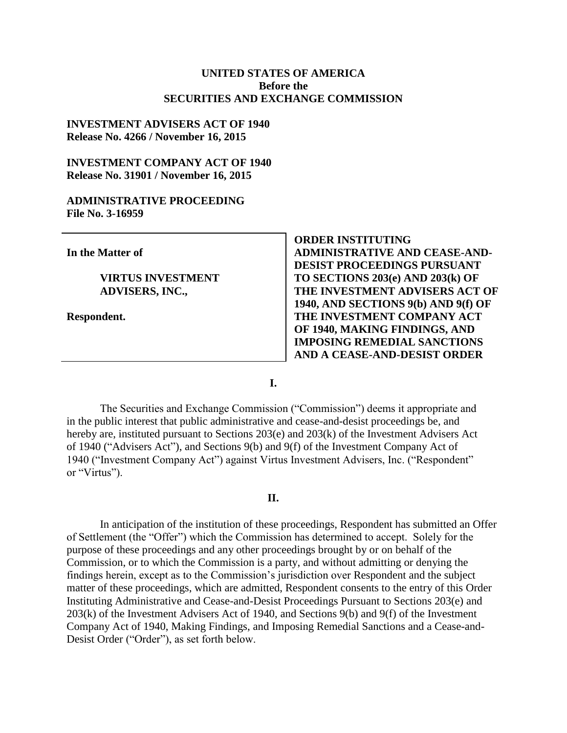#### **UNITED STATES OF AMERICA Before the SECURITIES AND EXCHANGE COMMISSION**

#### **INVESTMENT ADVISERS ACT OF 1940 Release No. 4266 / November 16, 2015**

### **INVESTMENT COMPANY ACT OF 1940 Release No. 31901 / November 16, 2015**

#### **ADMINISTRATIVE PROCEEDING File No. 3-16959**

**In the Matter of**

**VIRTUS INVESTMENT ADVISERS, INC.,**

**Respondent.**

**ORDER INSTITUTING ADMINISTRATIVE AND CEASE-AND-DESIST PROCEEDINGS PURSUANT TO SECTIONS 203(e) AND 203(k) OF THE INVESTMENT ADVISERS ACT OF 1940, AND SECTIONS 9(b) AND 9(f) OF THE INVESTMENT COMPANY ACT OF 1940, MAKING FINDINGS, AND IMPOSING REMEDIAL SANCTIONS AND A CEASE-AND-DESIST ORDER**

**I.**

The Securities and Exchange Commission ("Commission") deems it appropriate and in the public interest that public administrative and cease-and-desist proceedings be, and hereby are, instituted pursuant to Sections 203(e) and 203(k) of the Investment Advisers Act of 1940 ("Advisers Act"), and Sections 9(b) and 9(f) of the Investment Company Act of 1940 ("Investment Company Act") against Virtus Investment Advisers, Inc. ("Respondent" or "Virtus").

#### **II.**

In anticipation of the institution of these proceedings, Respondent has submitted an Offer of Settlement (the "Offer") which the Commission has determined to accept. Solely for the purpose of these proceedings and any other proceedings brought by or on behalf of the Commission, or to which the Commission is a party, and without admitting or denying the findings herein, except as to the Commission's jurisdiction over Respondent and the subject matter of these proceedings, which are admitted, Respondent consents to the entry of this Order Instituting Administrative and Cease-and-Desist Proceedings Pursuant to Sections 203(e) and 203(k) of the Investment Advisers Act of 1940, and Sections 9(b) and 9(f) of the Investment Company Act of 1940, Making Findings, and Imposing Remedial Sanctions and a Cease-and-Desist Order ("Order"), as set forth below.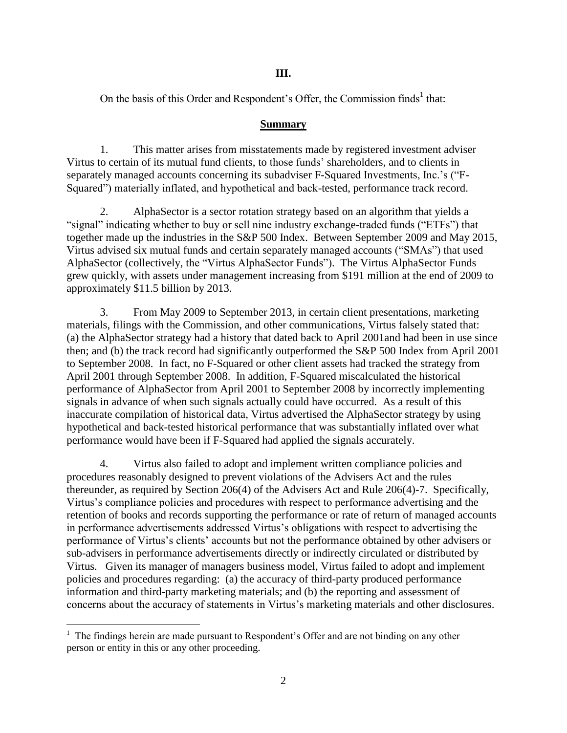### **III.**

On the basis of this Order and Respondent's Offer, the Commission finds<sup>1</sup> that:

### **Summary**

1. This matter arises from misstatements made by registered investment adviser Virtus to certain of its mutual fund clients, to those funds' shareholders, and to clients in separately managed accounts concerning its subadviser F-Squared Investments, Inc.'s ("F-Squared") materially inflated, and hypothetical and back-tested, performance track record.

2. AlphaSector is a sector rotation strategy based on an algorithm that yields a "signal" indicating whether to buy or sell nine industry exchange-traded funds ("ETFs") that together made up the industries in the S&P 500 Index. Between September 2009 and May 2015, Virtus advised six mutual funds and certain separately managed accounts ("SMAs") that used AlphaSector (collectively, the "Virtus AlphaSector Funds"). The Virtus AlphaSector Funds grew quickly, with assets under management increasing from \$191 million at the end of 2009 to approximately \$11.5 billion by 2013.

3. From May 2009 to September 2013, in certain client presentations, marketing materials, filings with the Commission, and other communications, Virtus falsely stated that: (a) the AlphaSector strategy had a history that dated back to April 2001and had been in use since then; and (b) the track record had significantly outperformed the S&P 500 Index from April 2001 to September 2008. In fact, no F-Squared or other client assets had tracked the strategy from April 2001 through September 2008. In addition, F-Squared miscalculated the historical performance of AlphaSector from April 2001 to September 2008 by incorrectly implementing signals in advance of when such signals actually could have occurred. As a result of this inaccurate compilation of historical data, Virtus advertised the AlphaSector strategy by using hypothetical and back-tested historical performance that was substantially inflated over what performance would have been if F-Squared had applied the signals accurately.

4. Virtus also failed to adopt and implement written compliance policies and procedures reasonably designed to prevent violations of the Advisers Act and the rules thereunder, as required by Section 206(4) of the Advisers Act and Rule 206(4)-7. Specifically, Virtus's compliance policies and procedures with respect to performance advertising and the retention of books and records supporting the performance or rate of return of managed accounts in performance advertisements addressed Virtus's obligations with respect to advertising the performance of Virtus's clients' accounts but not the performance obtained by other advisers or sub-advisers in performance advertisements directly or indirectly circulated or distributed by Virtus. Given its manager of managers business model, Virtus failed to adopt and implement policies and procedures regarding: (a) the accuracy of third-party produced performance information and third-party marketing materials; and (b) the reporting and assessment of concerns about the accuracy of statements in Virtus's marketing materials and other disclosures.

 $\overline{a}$ 

 $<sup>1</sup>$  The findings herein are made pursuant to Respondent's Offer and are not binding on any other</sup> person or entity in this or any other proceeding.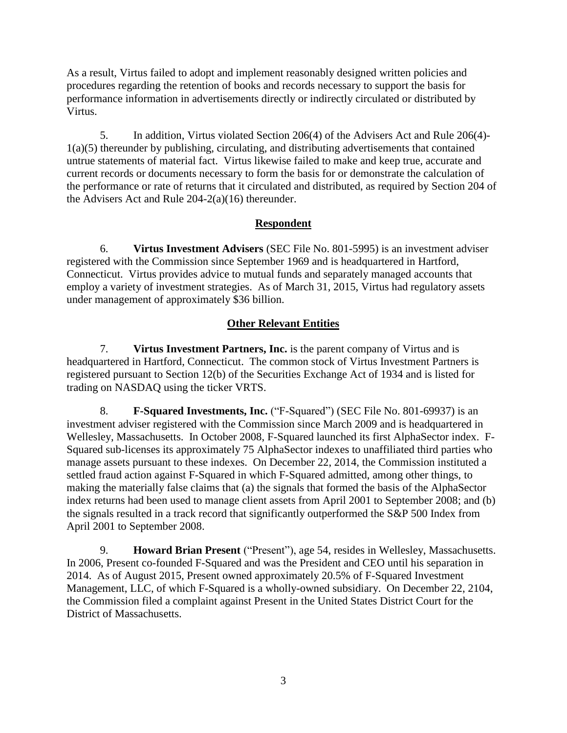As a result, Virtus failed to adopt and implement reasonably designed written policies and procedures regarding the retention of books and records necessary to support the basis for performance information in advertisements directly or indirectly circulated or distributed by Virtus.

5. In addition, Virtus violated Section 206(4) of the Advisers Act and Rule 206(4)- 1(a)(5) thereunder by publishing, circulating, and distributing advertisements that contained untrue statements of material fact. Virtus likewise failed to make and keep true, accurate and current records or documents necessary to form the basis for or demonstrate the calculation of the performance or rate of returns that it circulated and distributed, as required by Section 204 of the Advisers Act and Rule 204-2(a)(16) thereunder.

## **Respondent**

6. **Virtus Investment Advisers** (SEC File No. 801-5995) is an investment adviser registered with the Commission since September 1969 and is headquartered in Hartford, Connecticut. Virtus provides advice to mutual funds and separately managed accounts that employ a variety of investment strategies. As of March 31, 2015, Virtus had regulatory assets under management of approximately \$36 billion.

# **Other Relevant Entities**

7. **Virtus Investment Partners, Inc.** is the parent company of Virtus and is headquartered in Hartford, Connecticut. The common stock of Virtus Investment Partners is registered pursuant to Section 12(b) of the Securities Exchange Act of 1934 and is listed for trading on NASDAQ using the ticker VRTS.

8. **F-Squared Investments, Inc.** ("F-Squared") (SEC File No. 801-69937) is an investment adviser registered with the Commission since March 2009 and is headquartered in Wellesley, Massachusetts. In October 2008, F-Squared launched its first AlphaSector index. F-Squared sub-licenses its approximately 75 AlphaSector indexes to unaffiliated third parties who manage assets pursuant to these indexes. On December 22, 2014, the Commission instituted a settled fraud action against F-Squared in which F-Squared admitted, among other things, to making the materially false claims that (a) the signals that formed the basis of the AlphaSector index returns had been used to manage client assets from April 2001 to September 2008; and (b) the signals resulted in a track record that significantly outperformed the S&P 500 Index from April 2001 to September 2008.

9. **Howard Brian Present** ("Present"), age 54, resides in Wellesley, Massachusetts. In 2006, Present co-founded F-Squared and was the President and CEO until his separation in 2014. As of August 2015, Present owned approximately 20.5% of F-Squared Investment Management, LLC, of which F-Squared is a wholly-owned subsidiary. On December 22, 2104, the Commission filed a complaint against Present in the United States District Court for the District of Massachusetts.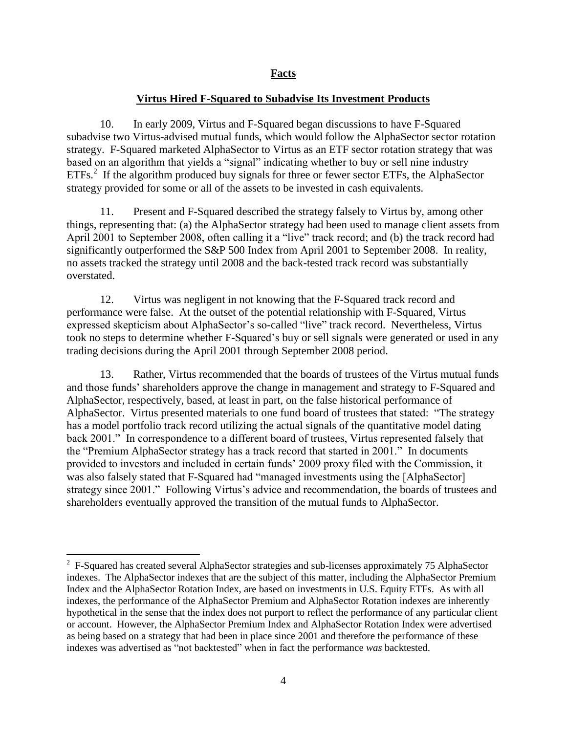### **Virtus Hired F-Squared to Subadvise Its Investment Products**

10. In early 2009, Virtus and F-Squared began discussions to have F-Squared subadvise two Virtus-advised mutual funds, which would follow the AlphaSector sector rotation strategy. F-Squared marketed AlphaSector to Virtus as an ETF sector rotation strategy that was based on an algorithm that yields a "signal" indicating whether to buy or sell nine industry ETFs.<sup>2</sup> If the algorithm produced buy signals for three or fewer sector ETFs, the AlphaSector strategy provided for some or all of the assets to be invested in cash equivalents.

11. Present and F-Squared described the strategy falsely to Virtus by, among other things, representing that: (a) the AlphaSector strategy had been used to manage client assets from April 2001 to September 2008, often calling it a "live" track record; and (b) the track record had significantly outperformed the S&P 500 Index from April 2001 to September 2008. In reality, no assets tracked the strategy until 2008 and the back-tested track record was substantially overstated.

12. Virtus was negligent in not knowing that the F-Squared track record and performance were false. At the outset of the potential relationship with F-Squared, Virtus expressed skepticism about AlphaSector's so-called "live" track record. Nevertheless, Virtus took no steps to determine whether F-Squared's buy or sell signals were generated or used in any trading decisions during the April 2001 through September 2008 period.

13. Rather, Virtus recommended that the boards of trustees of the Virtus mutual funds and those funds' shareholders approve the change in management and strategy to F-Squared and AlphaSector, respectively, based, at least in part, on the false historical performance of AlphaSector. Virtus presented materials to one fund board of trustees that stated: "The strategy has a model portfolio track record utilizing the actual signals of the quantitative model dating back 2001." In correspondence to a different board of trustees, Virtus represented falsely that the "Premium AlphaSector strategy has a track record that started in 2001." In documents provided to investors and included in certain funds' 2009 proxy filed with the Commission, it was also falsely stated that F-Squared had "managed investments using the [AlphaSector] strategy since 2001." Following Virtus's advice and recommendation, the boards of trustees and shareholders eventually approved the transition of the mutual funds to AlphaSector.

 $\overline{a}$ 

<sup>&</sup>lt;sup>2</sup> F-Squared has created several AlphaSector strategies and sub-licenses approximately 75 AlphaSector indexes. The AlphaSector indexes that are the subject of this matter, including the AlphaSector Premium Index and the AlphaSector Rotation Index, are based on investments in U.S. Equity ETFs. As with all indexes, the performance of the AlphaSector Premium and AlphaSector Rotation indexes are inherently hypothetical in the sense that the index does not purport to reflect the performance of any particular client or account. However, the AlphaSector Premium Index and AlphaSector Rotation Index were advertised as being based on a strategy that had been in place since 2001 and therefore the performance of these indexes was advertised as "not backtested" when in fact the performance *was* backtested.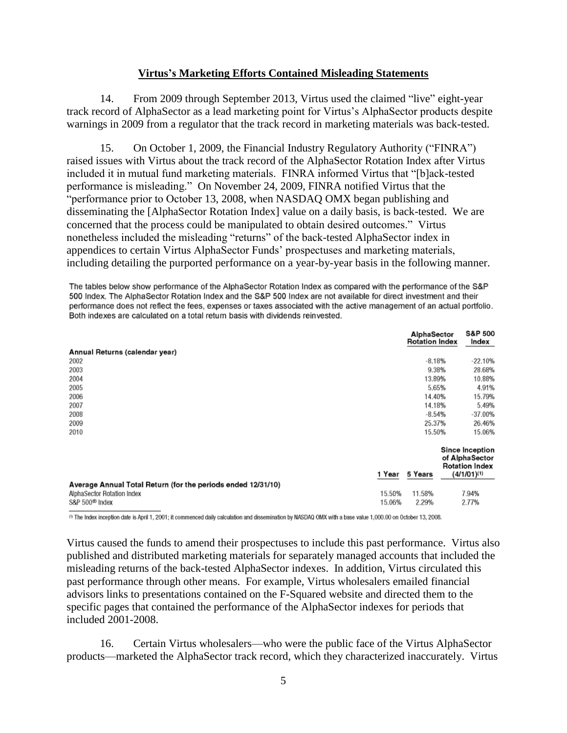### **Virtus's Marketing Efforts Contained Misleading Statements**

14. From 2009 through September 2013, Virtus used the claimed "live" eight-year track record of AlphaSector as a lead marketing point for Virtus's AlphaSector products despite warnings in 2009 from a regulator that the track record in marketing materials was back-tested.

15. On October 1, 2009, the Financial Industry Regulatory Authority ("FINRA") raised issues with Virtus about the track record of the AlphaSector Rotation Index after Virtus included it in mutual fund marketing materials. FINRA informed Virtus that "[b]ack-tested performance is misleading." On November 24, 2009, FINRA notified Virtus that the "performance prior to October 13, 2008, when NASDAQ OMX began publishing and disseminating the [AlphaSector Rotation Index] value on a daily basis, is back-tested. We are concerned that the process could be manipulated to obtain desired outcomes." Virtus nonetheless included the misleading "returns" of the back-tested AlphaSector index in appendices to certain Virtus AlphaSector Funds' prospectuses and marketing materials, including detailing the purported performance on a year-by-year basis in the following manner.

The tables below show performance of the AlphaSector Rotation Index as compared with the performance of the S&P 500 Index. The AlphaSector Rotation Index and the S&P 500 Index are not available for direct investment and their performance does not reflect the fees, expenses or taxes associated with the active management of an actual portfolio. Both indexes are calculated on a total return basis with dividends reinvested.

|                                                                                                                          |                  | AlphaSector<br><b>Rotation Index</b> |  | S&P 500<br>Index                                                                      |
|--------------------------------------------------------------------------------------------------------------------------|------------------|--------------------------------------|--|---------------------------------------------------------------------------------------|
| Annual Returns (calendar year)                                                                                           |                  |                                      |  |                                                                                       |
| 2002                                                                                                                     |                  | $-8.18%$                             |  | $-22.10%$                                                                             |
| 2003                                                                                                                     |                  | 9.38%                                |  | 28.68%                                                                                |
| 2004                                                                                                                     |                  | 13.89%                               |  | 10.88%                                                                                |
| 2005                                                                                                                     |                  | 5.65%                                |  | 4.91%                                                                                 |
| 2006                                                                                                                     |                  | 14.40%                               |  | 15.79%                                                                                |
| 2007                                                                                                                     |                  | 14.18%                               |  | 5.49%                                                                                 |
| 2008                                                                                                                     |                  | $-8.54%$                             |  | -37.00%                                                                               |
| 2009                                                                                                                     |                  | 25.37%                               |  | 26.46%                                                                                |
| 2010                                                                                                                     |                  | 15.50%                               |  | 15.06%                                                                                |
|                                                                                                                          | 1 Year           | 5 Years                              |  | <b>Since Inception</b><br>of AlphaSector<br><b>Rotation Index</b><br>$(4/1/01)^{(1)}$ |
| Average Annual Total Return (for the periods ended 12/31/10)<br>AlphaSector Rotation Index<br>S&P 500 <sup>®</sup> Index | 15.50%<br>15.06% | 11.58%<br>2.29%                      |  | 7.94%<br>2.77%                                                                        |

(0) The Index inception date is April 1, 2001; it commenced daily calculation and dissemination by NASDAQ OMX with a base value 1,000.00 on October 13, 2008.

Virtus caused the funds to amend their prospectuses to include this past performance. Virtus also published and distributed marketing materials for separately managed accounts that included the misleading returns of the back-tested AlphaSector indexes. In addition, Virtus circulated this past performance through other means. For example, Virtus wholesalers emailed financial advisors links to presentations contained on the F-Squared website and directed them to the specific pages that contained the performance of the AlphaSector indexes for periods that included 2001-2008.

16. Certain Virtus wholesalers—who were the public face of the Virtus AlphaSector products—marketed the AlphaSector track record, which they characterized inaccurately. Virtus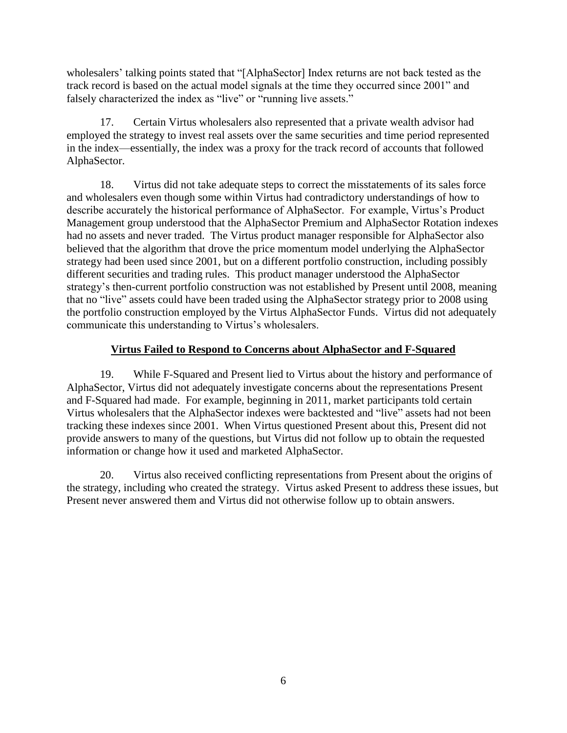wholesalers' talking points stated that "[AlphaSector] Index returns are not back tested as the track record is based on the actual model signals at the time they occurred since 2001" and falsely characterized the index as "live" or "running live assets."

17. Certain Virtus wholesalers also represented that a private wealth advisor had employed the strategy to invest real assets over the same securities and time period represented in the index—essentially, the index was a proxy for the track record of accounts that followed AlphaSector.

18. Virtus did not take adequate steps to correct the misstatements of its sales force and wholesalers even though some within Virtus had contradictory understandings of how to describe accurately the historical performance of AlphaSector. For example, Virtus's Product Management group understood that the AlphaSector Premium and AlphaSector Rotation indexes had no assets and never traded. The Virtus product manager responsible for AlphaSector also believed that the algorithm that drove the price momentum model underlying the AlphaSector strategy had been used since 2001, but on a different portfolio construction, including possibly different securities and trading rules. This product manager understood the AlphaSector strategy's then-current portfolio construction was not established by Present until 2008, meaning that no "live" assets could have been traded using the AlphaSector strategy prior to 2008 using the portfolio construction employed by the Virtus AlphaSector Funds. Virtus did not adequately communicate this understanding to Virtus's wholesalers.

# **Virtus Failed to Respond to Concerns about AlphaSector and F-Squared**

19. While F-Squared and Present lied to Virtus about the history and performance of AlphaSector, Virtus did not adequately investigate concerns about the representations Present and F-Squared had made. For example, beginning in 2011, market participants told certain Virtus wholesalers that the AlphaSector indexes were backtested and "live" assets had not been tracking these indexes since 2001. When Virtus questioned Present about this, Present did not provide answers to many of the questions, but Virtus did not follow up to obtain the requested information or change how it used and marketed AlphaSector.

20. Virtus also received conflicting representations from Present about the origins of the strategy, including who created the strategy. Virtus asked Present to address these issues, but Present never answered them and Virtus did not otherwise follow up to obtain answers.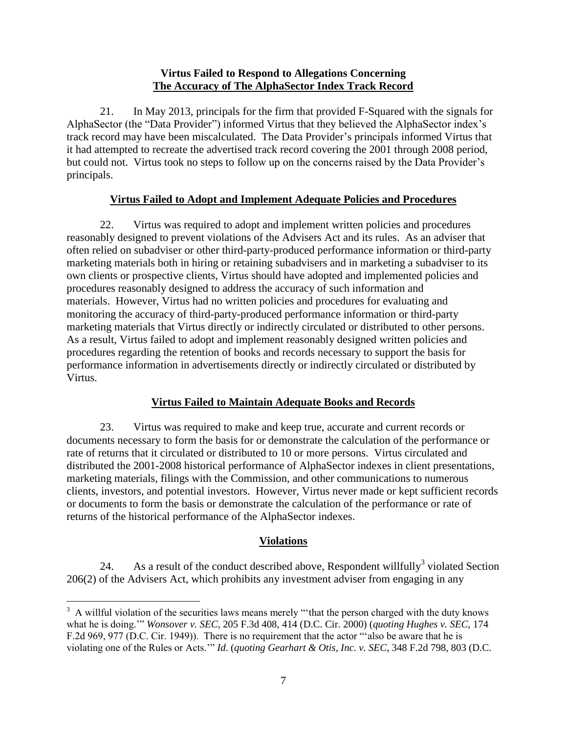### **Virtus Failed to Respond to Allegations Concerning The Accuracy of The AlphaSector Index Track Record**

21. In May 2013, principals for the firm that provided F-Squared with the signals for AlphaSector (the "Data Provider") informed Virtus that they believed the AlphaSector index's track record may have been miscalculated. The Data Provider's principals informed Virtus that it had attempted to recreate the advertised track record covering the 2001 through 2008 period, but could not. Virtus took no steps to follow up on the concerns raised by the Data Provider's principals.

## **Virtus Failed to Adopt and Implement Adequate Policies and Procedures**

22. Virtus was required to adopt and implement written policies and procedures reasonably designed to prevent violations of the Advisers Act and its rules. As an adviser that often relied on subadviser or other third-party-produced performance information or third-party marketing materials both in hiring or retaining subadvisers and in marketing a subadviser to its own clients or prospective clients, Virtus should have adopted and implemented policies and procedures reasonably designed to address the accuracy of such information and materials. However, Virtus had no written policies and procedures for evaluating and monitoring the accuracy of third-party-produced performance information or third-party marketing materials that Virtus directly or indirectly circulated or distributed to other persons. As a result, Virtus failed to adopt and implement reasonably designed written policies and procedures regarding the retention of books and records necessary to support the basis for performance information in advertisements directly or indirectly circulated or distributed by Virtus.

## **Virtus Failed to Maintain Adequate Books and Records**

23. Virtus was required to make and keep true, accurate and current records or documents necessary to form the basis for or demonstrate the calculation of the performance or rate of returns that it circulated or distributed to 10 or more persons. Virtus circulated and distributed the 2001-2008 historical performance of AlphaSector indexes in client presentations, marketing materials, filings with the Commission, and other communications to numerous clients, investors, and potential investors. However, Virtus never made or kept sufficient records or documents to form the basis or demonstrate the calculation of the performance or rate of returns of the historical performance of the AlphaSector indexes.

# **Violations**

24. As a result of the conduct described above, Respondent will full  $y^3$  violated Section 206(2) of the Advisers Act, which prohibits any investment adviser from engaging in any

 $\overline{a}$  $3 \text{ A will full violation of the securities laws means merely "that the person charged with the duty knows" }$ what he is doing.'" *Wonsover v. SEC*, 205 F.3d 408, 414 (D.C. Cir. 2000) (*quoting Hughes v. SEC*, 174 F.2d 969, 977 (D.C. Cir. 1949)). There is no requirement that the actor "'also be aware that he is violating one of the Rules or Acts.'" *Id*. (*quoting Gearhart & Otis, Inc. v. SEC*, 348 F.2d 798, 803 (D.C.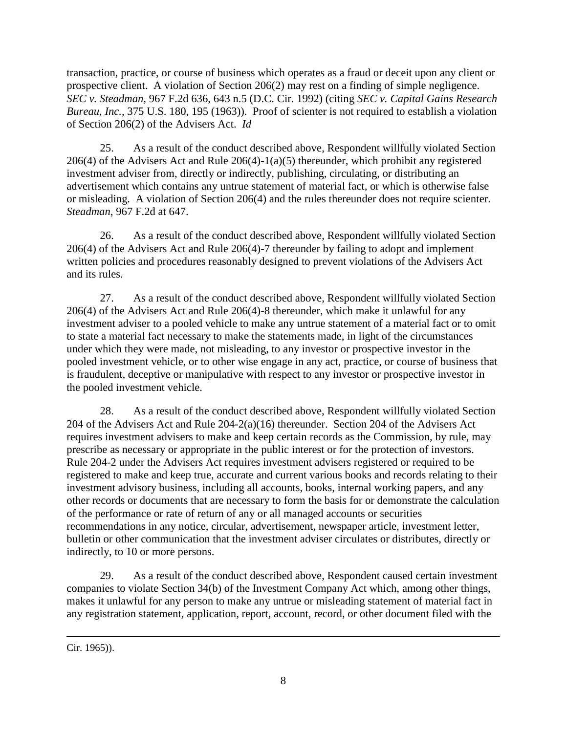transaction, practice, or course of business which operates as a fraud or deceit upon any client or prospective client. A violation of Section 206(2) may rest on a finding of simple negligence. *SEC v. Steadman*, 967 F.2d 636, 643 n.5 (D.C. Cir. 1992) (citing *SEC v. Capital Gains Research Bureau, Inc.*, 375 U.S. 180, 195 (1963)). Proof of scienter is not required to establish a violation of Section 206(2) of the Advisers Act. *Id*

25. As a result of the conduct described above, Respondent willfully violated Section 206(4) of the Advisers Act and Rule 206(4)-1(a)(5) thereunder, which prohibit any registered investment adviser from, directly or indirectly, publishing, circulating, or distributing an advertisement which contains any untrue statement of material fact, or which is otherwise false or misleading. A violation of Section 206(4) and the rules thereunder does not require scienter. *Steadman*, 967 F.2d at 647.

26. As a result of the conduct described above, Respondent willfully violated Section 206(4) of the Advisers Act and Rule 206(4)-7 thereunder by failing to adopt and implement written policies and procedures reasonably designed to prevent violations of the Advisers Act and its rules.

27. As a result of the conduct described above, Respondent willfully violated Section 206(4) of the Advisers Act and Rule 206(4)-8 thereunder, which make it unlawful for any investment adviser to a pooled vehicle to make any untrue statement of a material fact or to omit to state a material fact necessary to make the statements made, in light of the circumstances under which they were made, not misleading, to any investor or prospective investor in the pooled investment vehicle, or to other wise engage in any act, practice, or course of business that is fraudulent, deceptive or manipulative with respect to any investor or prospective investor in the pooled investment vehicle.

28. As a result of the conduct described above, Respondent willfully violated Section 204 of the Advisers Act and Rule 204-2(a)(16) thereunder. Section 204 of the Advisers Act requires investment advisers to make and keep certain records as the Commission, by rule, may prescribe as necessary or appropriate in the public interest or for the protection of investors. Rule 204-2 under the Advisers Act requires investment advisers registered or required to be registered to make and keep true, accurate and current various books and records relating to their investment advisory business, including all accounts, books, internal working papers, and any other records or documents that are necessary to form the basis for or demonstrate the calculation of the performance or rate of return of any or all managed accounts or securities recommendations in any notice, circular, advertisement, newspaper article, investment letter, bulletin or other communication that the investment adviser circulates or distributes, directly or indirectly, to 10 or more persons.

29. As a result of the conduct described above, Respondent caused certain investment companies to violate Section 34(b) of the Investment Company Act which, among other things, makes it unlawful for any person to make any untrue or misleading statement of material fact in any registration statement, application, report, account, record, or other document filed with the

Cir. 1965)).

 $\overline{a}$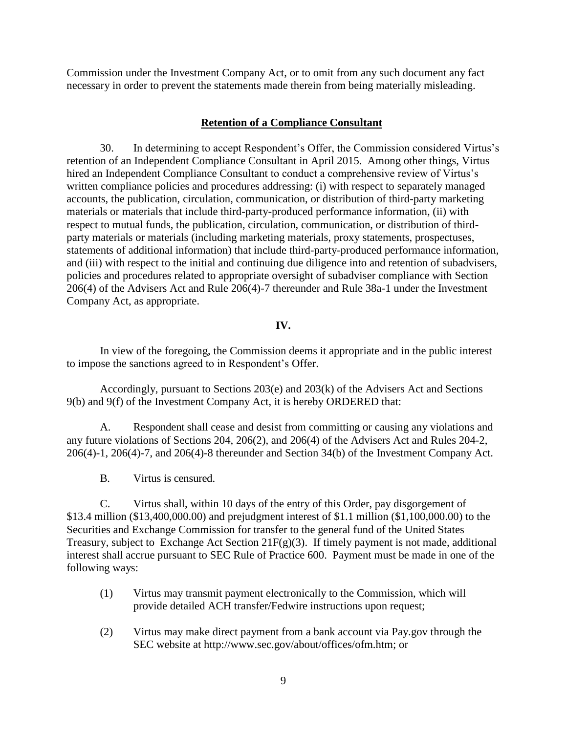Commission under the Investment Company Act, or to omit from any such document any fact necessary in order to prevent the statements made therein from being materially misleading.

#### **Retention of a Compliance Consultant**

30. In determining to accept Respondent's Offer, the Commission considered Virtus's retention of an Independent Compliance Consultant in April 2015. Among other things, Virtus hired an Independent Compliance Consultant to conduct a comprehensive review of Virtus's written compliance policies and procedures addressing: (i) with respect to separately managed accounts, the publication, circulation, communication, or distribution of third-party marketing materials or materials that include third-party-produced performance information, (ii) with respect to mutual funds, the publication, circulation, communication, or distribution of thirdparty materials or materials (including marketing materials, proxy statements, prospectuses, statements of additional information) that include third-party-produced performance information, and (iii) with respect to the initial and continuing due diligence into and retention of subadvisers, policies and procedures related to appropriate oversight of subadviser compliance with Section 206(4) of the Advisers Act and Rule 206(4)-7 thereunder and Rule 38a-1 under the Investment Company Act, as appropriate.

#### **IV.**

In view of the foregoing, the Commission deems it appropriate and in the public interest to impose the sanctions agreed to in Respondent's Offer.

Accordingly, pursuant to Sections 203(e) and 203(k) of the Advisers Act and Sections 9(b) and 9(f) of the Investment Company Act, it is hereby ORDERED that:

A. Respondent shall cease and desist from committing or causing any violations and any future violations of Sections 204, 206(2), and 206(4) of the Advisers Act and Rules 204-2, 206(4)-1, 206(4)-7, and 206(4)-8 thereunder and Section 34(b) of the Investment Company Act.

B. Virtus is censured.

C. Virtus shall, within 10 days of the entry of this Order, pay disgorgement of \$13.4 million (\$13,400,000.00) and prejudgment interest of \$1.1 million (\$1,100,000.00) to the Securities and Exchange Commission for transfer to the general fund of the United States Treasury, subject to Exchange Act Section  $21F(g)(3)$ . If timely payment is not made, additional interest shall accrue pursuant to SEC Rule of Practice 600. Payment must be made in one of the following ways:

- (1) Virtus may transmit payment electronically to the Commission, which will provide detailed ACH transfer/Fedwire instructions upon request;
- (2) Virtus may make direct payment from a bank account via Pay.gov through the SEC website at http://www.sec.gov/about/offices/ofm.htm; or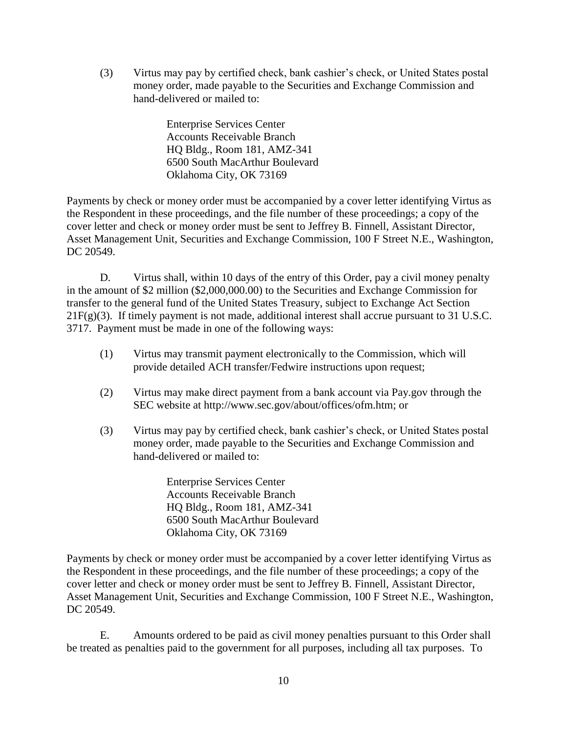(3) Virtus may pay by certified check, bank cashier's check, or United States postal money order, made payable to the Securities and Exchange Commission and hand-delivered or mailed to:

> Enterprise Services Center Accounts Receivable Branch HQ Bldg., Room 181, AMZ-341 6500 South MacArthur Boulevard Oklahoma City, OK 73169

Payments by check or money order must be accompanied by a cover letter identifying Virtus as the Respondent in these proceedings, and the file number of these proceedings; a copy of the cover letter and check or money order must be sent to Jeffrey B. Finnell, Assistant Director, Asset Management Unit, Securities and Exchange Commission, 100 F Street N.E., Washington, DC 20549.

D. Virtus shall, within 10 days of the entry of this Order, pay a civil money penalty in the amount of \$2 million (\$2,000,000.00) to the Securities and Exchange Commission for transfer to the general fund of the United States Treasury, subject to Exchange Act Section 21F(g)(3). If timely payment is not made, additional interest shall accrue pursuant to 31 U.S.C. 3717. Payment must be made in one of the following ways:

- (1) Virtus may transmit payment electronically to the Commission, which will provide detailed ACH transfer/Fedwire instructions upon request;
- (2) Virtus may make direct payment from a bank account via Pay.gov through the SEC website at http://www.sec.gov/about/offices/ofm.htm; or
- (3) Virtus may pay by certified check, bank cashier's check, or United States postal money order, made payable to the Securities and Exchange Commission and hand-delivered or mailed to:

Enterprise Services Center Accounts Receivable Branch HQ Bldg., Room 181, AMZ-341 6500 South MacArthur Boulevard Oklahoma City, OK 73169

Payments by check or money order must be accompanied by a cover letter identifying Virtus as the Respondent in these proceedings, and the file number of these proceedings; a copy of the cover letter and check or money order must be sent to Jeffrey B. Finnell, Assistant Director, Asset Management Unit, Securities and Exchange Commission, 100 F Street N.E., Washington, DC 20549.

E. Amounts ordered to be paid as civil money penalties pursuant to this Order shall be treated as penalties paid to the government for all purposes, including all tax purposes. To